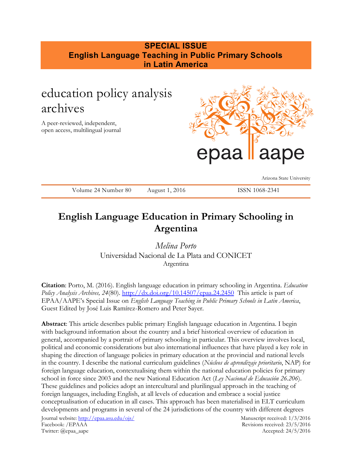# **SPECIAL ISSUE English Language Teaching in Public Primary Schools in Latin America**

# education policy analysis archives

A peer-reviewed, independent, open access, multilingual journal



Arizona State University

Volume 24 Number 80 August 1, 2016 ISSN 1068-2341

# **English Language Education in Primary Schooling in Argentina**

*Melina Porto* Universidad Nacional de La Plata and CONICET Argentina

**Citation**: Porto, M. (2016). English language education in primary schooling in Argentina. *Education Policy Analysis Archives, 24*(80). <http://dx.doi.org/10.14507/epaa.24.2450>This article is part of EPAA/AAPE's Special Issue on *English Language Teaching in Public Primary Schools in Latin America*, Guest Edited by José Luis Ramírez-Romero and Peter Sayer.

**Abstract**: This article describes public primary English language education in Argentina. I begin with background information about the country and a brief historical overview of education in general, accompanied by a portrait of primary schooling in particular. This overview involves local, political and economic considerations but also international influences that have played a key role in shaping the direction of language policies in primary education at the provincial and national levels in the country. I describe the national curriculum guidelines (*Núcleos de aprendizaje prioritario*, NAP) for foreign language education, contextualising them within the national education policies for primary school in force since 2003 and the new National Education Act (*Ley Nacional de Educación 26.206*). These guidelines and policies adopt an intercultural and plurilingual approach in the teaching of foreign languages, including English, at all levels of education and embrace a social justice conceptualisation of education in all cases. This approach has been materialised in ELT curriculum developments and programs in several of the 24 jurisdictions of the country with different degrees

Journal website:<http://epaa.asu.edu/ojs/> Manuscript received: 1/3/2016 Facebook: /EPAAA Revisions received: 23/5/2016 Twitter: @epaa\_aape Accepted: 24/5/2016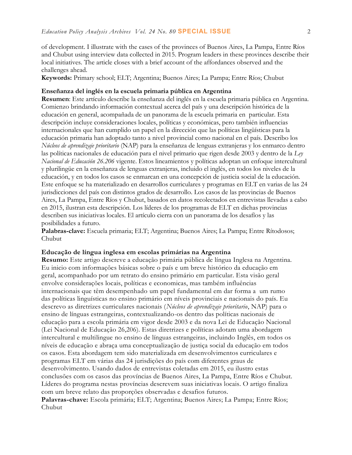of development. I illustrate with the cases of the provinces of Buenos Aires, La Pampa, Entre Ríos and Chubut using interview data collected in 2015. Program leaders in these provinces describe their local initiatives. The article closes with a brief account of the affordances observed and the challenges ahead.

**Keywords:** Primary school; ELT; Argentina; Buenos Aires; La Pampa; Entre Ríos; Chubut

#### **Enseñanza del inglés en la escuela primaria pública en Argentina**

**Resumen**: Este artículo describe la enseñanza del inglés en la escuela primaria pública en Argentina. Comienzo brindando información contextual acerca del país y una descripción histórica de la educación en general, acompañada de un panorama de la escuela primaria en particular. Esta descripción incluye consideraciones locales, políticas y económicas, pero también influencias internacionales que han cumplido un papel en la dirección que las políticas lingüísticas para la educación primaria han adoptado tanto a nivel provincial como nacional en el país. Describo los *Núcleos de aprendizaje prioritario* (NAP) para la enseñanza de lenguas extranjeras y los enmarco dentro las políticas nacionales de educación para el nivel primario que rigen desde 2003 y dentro de la *Ley Nacional de Educación 26.206* vigente. Estos lineamientos y políticas adoptan un enfoque intercultural y plurilingüe en la enseñanza de lenguas extranjeras, incluido el inglés, en todos los niveles de la educación, y en todos los casos se enmarcan en una concepción de justicia social de la educación. Este enfoque se ha materializado en desarrollos curriculares y programas en ELT en varias de las 24 jurisdicciones del país con distintos grados de desarrollo. Los casos de las provincias de Buenos Aires, La Pampa, Entre Ríos y Chubut, basados en datos recolectados en entrevistas llevadas a cabo en 2015, ilustran esta descripción. Los líderes de los programas de ELT en dichas provincias describen sus iniciativas locales. El artículo cierra con un panorama de los desafíos y las posibilidades a futuro.

**Palabras-clave:** Escuela primaria; ELT; Argentina; Buenos Aires; La Pampa; Entre Rítodosos; Chubut

#### **Educação de língua inglesa em escolas primárias na Argentina**

**Resumo:** Este artigo descreve a educação primária pública de língua Inglesa na Argentina. Eu inicio com informações básicas sobre o país e um breve histórico da educação em geral, acompanhado por um retrato do ensino primário em particular. Esta visão geral envolve considerações locais, políticas e economicas, mas também influências internacionais que têm desempenhado um papel fundamental em dar forma a um rumo das políticas linguísticas no ensino primário em níveis provinciais e nacionais do país. Eu descrevo as diretrizes curriculares nacionais (*Núcleos de aprendizaje prioritario*, NAP) para o ensino de línguas estrangeiras, contextualizando-os dentro das políticas nacionais de educação para a escola primária em vigor desde 2003 e da nova Lei de Educação Nacional (Lei Nacional de Educação 26,206). Estas diretrizes e políticas adotam uma abordagem intercultural e multilingue no ensino de línguas estrangeiras, incluindo Inglês, em todos os níveis de educação e abraça uma conceptualização de justiça social da educação em todos os casos. Esta abordagem tem sido materializada em desenvolvimentos curriculares e programas ELT em várias das 24 jurisdições do país com diferentes graus de desenvolvimento. Usando dados de entrevistas coletadas em 2015, eu ilustro estas conclusões com os casos das províncias de Buenos Aires, La Pampa, Entre Ríos e Chubut. Líderes do programa nestas províncias descrevem suas iniciativas locais. O artigo finaliza com um breve relato das proporções observadas e desafios futuros. **Palavras-chave:** Escola primária; ELT; Argentina; Buenos Aires; La Pampa; Entre Ríos;

Chubut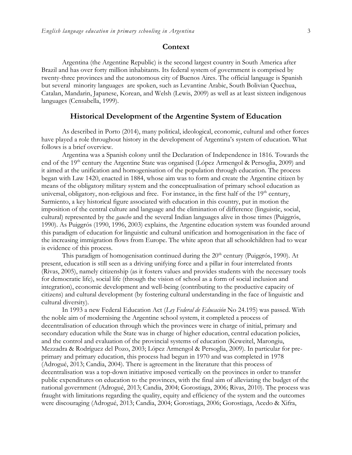### **Context**

Argentina (the Argentine Republic) is the second largest country in South America after Brazil and has over forty million inhabitants. Its federal system of government is comprised by twenty-three provinces and the autonomous city of Buenos Aires. The official language is Spanish but several minority languages are spoken, such as Levantine Arabic, South Bolivian Quechua, Catalan, Mandarin, Japanese, Korean, and Welsh (Lewis, 2009) as well as at least sixteen indigenous languages (Censabella, 1999).

## **Historical Development of the Argentine System of Education**

As described in Porto (2014), many political, ideological, economic, cultural and other forces have played a role throughout history in the development of Argentina's system of education. What follows is a brief overview.

Argentina was a Spanish colony until the Declaration of Independence in 1816. Towards the end of the 19<sup>th</sup> century the Argentine State was organised (López Armengol & Persoglia, 2009) and it aimed at the unification and homogenisation of the population through education. The process began with Law 1420, enacted in 1884, whose aim was to form and create the Argentine citizen by means of the obligatory military system and the conceptualisation of primary school education as universal, obligatory, non-religious and free. For instance, in the first half of the  $19<sup>th</sup>$  century, Sarmiento, a key historical figure associated with education in this country, put in motion the imposition of the central culture and language and the elimination of difference (linguistic, social, cultural) represented by the *gaucho* and the several Indian languages alive in those times (Puiggrós, 1990). As Puiggrós (1990, 1996, 2003) explains, the Argentine education system was founded around this paradigm of education for linguistic and cultural unification and homogenisation in the face of the increasing immigration flows from Europe. The white apron that all schoolchildren had to wear is evidence of this process.

This paradigm of homogenisation continued during the  $20<sup>th</sup>$  century (Puiggrós, 1990). At present, education is still seen as a driving unifying force and a pillar in four interrelated fronts (Rivas, 2005), namely citizenship (as it fosters values and provides students with the necessary tools for democratic life), social life (through the vision of school as a form of social inclusion and integration), economic development and well-being (contributing to the productive capacity of citizens) and cultural development (by fostering cultural understanding in the face of linguistic and cultural diversity).

In 1993 a new Federal Education Act (*Ley Federal de Educación* No 24.195) was passed. With the noble aim of modernising the Argentine school system, it completed a process of decentralisation of education through which the provinces were in charge of initial, primary and secondary education while the State was in charge of higher education, central education policies, and the control and evaluation of the provincial systems of education (Keweitel, Marongiu, Mezzadra & Rodríguez del Pozo, 2003; López Armengol & Persoglia, 2009). In particular for preprimary and primary education, this process had begun in 1970 and was completed in 1978 (Adrogué, 2013; Candia, 2004). There is agreement in the literature that this process of decentralisation was a top-down initiative imposed vertically on the provinces in order to transfer public expenditures on education to the provinces, with the final aim of alleviating the budget of the national government (Adrogué, 2013; Candia, 2004; Gorostiaga, 2006; Rivas, 2010). The process was fraught with limitations regarding the quality, equity and efficiency of the system and the outcomes were discouraging (Adrogué, 2013; Candia, 2004; Gorostiaga, 2006; Gorostiaga, Acedo & Xifra,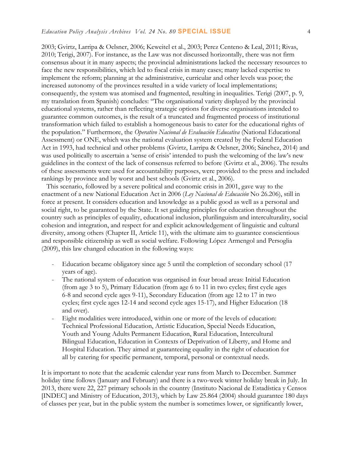2003; Gvirtz, Larripa & Oelsner, 2006; Keweitel et al., 2003; Perez Centeno & Leal, 2011; Rivas, 2010; Terigi, 2007). For instance, as the Law was not discussed horizontally, there was not firm consensus about it in many aspects; the provincial administrations lacked the necessary resources to face the new responsibilities, which led to fiscal crisis in many cases; many lacked expertise to implement the reform; planning at the administrative, curricular and other levels was poor; the increased autonomy of the provinces resulted in a wide variety of local implementations; consequently, the system was atomised and fragmented, resulting in inequalities. Terigi (2007, p. 9, my translation from Spanish) concludes: "The organisational variety displayed by the provincial educational systems, rather than reflecting strategic options for diverse organisations intended to guarantee common outcomes, is the result of a truncated and fragmented process of institutional transformation which failed to establish a homogeneous basis to cater for the educational rights of the population." Furthermore, the *Operativo Nacional de Evaluación Educativa* (National Educational Assessment) or ONE, which was the national evaluation system created by the Federal Education Act in 1993, had technical and other problems (Gvirtz, Larripa & Oelsner, 2006; Sánchez, 2014) and was used politically to ascertain a 'sense of crisis' intended to push the welcoming of the law's new guidelines in the context of the lack of consensus referred to before (Gvirtz et al., 2006). The results of these assessments were used for accountability purposes, were provided to the press and included rankings by province and by worst and best schools (Gvirtz et al., 2006).

 This scenario, followed by a severe political and economic crisis in 2001, gave way to the enactment of a new National Education Act in 2006 (*Ley Nacional de Educación* No 26.206), still in force at present. It considers education and knowledge as a public good as well as a personal and social right, to be guaranteed by the State. It set guiding principles for education throughout the country such as principles of equality, educational inclusion, plurilinguism and interculturality, social cohesion and integration, and respect for and explicit acknowledgement of linguistic and cultural diversity, among others (Chapter II, Article 11), with the ultimate aim to guarantee conscientious and responsible citizenship as well as social welfare. Following López Armengol and Persoglia (2009), this law changed education in the following ways:

- Education became obligatory since age 5 until the completion of secondary school (17 years of age).
- The national system of education was organised in four broad areas: Initial Education (from age 3 to 5), Primary Education (from age 6 to 11 in two cycles; first cycle ages 6-8 and second cycle ages 9-11), Secondary Education (from age 12 to 17 in two cycles; first cycle ages 12-14 and second cycle ages 15-17), and Higher Education (18 and over).
- Eight modalities were introduced, within one or more of the levels of education: Technical Professional Education, Artistic Education, Special Needs Education, Youth and Young Adults Permanent Education, Rural Education, Intercultural Bilingual Education, Education in Contexts of Deprivation of Liberty, and Home and Hospital Education. They aimed at guaranteeing equality in the right of education for all by catering for specific permanent, temporal, personal or contextual needs.

It is important to note that the academic calendar year runs from March to December. Summer holiday time follows (January and February) and there is a two-week winter holiday break in July. In 2013, there were 22, 227 primary schools in the country (Instituto Nacional de Estadística y Censos [INDEC] and Ministry of Education, 2013), which by Law 25.864 (2004) should guarantee 180 days of classes per year, but in the public system the number is sometimes lower, or significantly lower,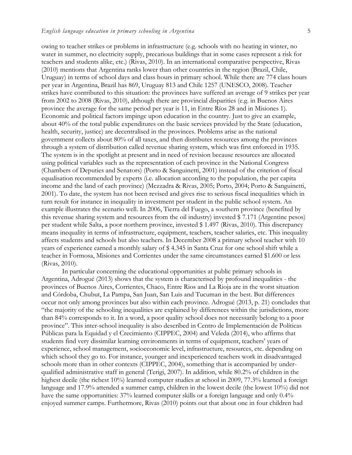owing to teacher strikes or problems in infrastructure (e.g. schools with no heating in winter, no water in summer, no electricity supply, precarious buildings that in some cases represent a risk for teachers and students alike, etc.) (Rivas, 2010). In an international comparative perspective, Rivas (2010) mentions that Argentina ranks lower than other countries in the region (Brazil, Chile, Uruguay) in terms of school days and class hours in primary school. While there are 774 class hours per year in Argentina, Brazil has 869, Uruguay 813 and Chile 1257 (UNESCO, 2008). Teacher strikes have contributed to this situation: the provinces have suffered an average of 9 strikes per year from 2002 to 2008 (Rivas, 2010), although there are provincial disparities (e.g. in Buenos Aires province the average for the same period per year is 11, in Entre Ríos 28 and in Misiones 1). Economic and political factors impinge upon education in the country. Just to give an example, about 40% of the total public expenditures on the basic services provided by the State (education, health, security, justice) are decentralised in the provinces. Problems arise as the national government collects about 80% of all taxes, and then distributes resources among the provinces through a system of distribution called revenue sharing system, which was first enforced in 1935. The system is in the spotlight at present and in need of revision because resources are allocated using political variables such as the representation of each province in the National Congress (Chambers of Deputies and Senators) (Porto & Sanguinetti, 2001) instead of the criterion of fiscal equalisation recommended by experts (i.e. allocation according to the population, the per capita income and the land of each province) (Mezzadra & Rivas, 2005; Porto, 2004; Porto & Sanguinetti, 2001). To date, the system has not been revised and gives rise to serious fiscal inequalities which in turn result for instance in inequality in investment per student in the public school system. An example illustrates the scenario well. In 2006, Tierra del Fuego, a southern province (benefited by this revenue sharing system and resources from the oil industry) invested \$ 7.171 (Argentine pesos) per student while Salta, a poor northern province, invested \$ 1.497 (Rivas, 2010). This discrepancy means inequality in terms of infrastructure, equipment, teachers, teacher salaries, etc. This inequality affects students and schools but also teachers. In December 2008 a primary school teacher with 10 years of experience earned a monthly salary of \$ 4.345 in Santa Cruz for one school shift while a teacher in Formosa, Misiones and Corrientes under the same circumstances earned \$1.600 or less (Rivas, 2010).

In particular concerning the educational opportunities at public primary schools in Argentina, Adrogué (2013) shows that the system is characterised by profound inequalities - the provinces of Buenos Aires, Corrientes, Chaco, Entre Rios and La Rioja are in the worst situation and Córdoba, Chubut, La Pampa, San Juan, San Luis and Tucuman in the best. But differences occur not only among provinces but also within each province. Adrogué (2013, p. 21) concludes that "the majority of the schooling inequalities are explained by differences within the jurisdictions, more than 84% corresponds to it. In a word, a poor quality school does not necessarily belong to a poor province". This inter-school inequality is also described in Centro de Implementación de Políticas Públicas para la Equidad y el Crecimiento (CIPPEC, 2004) and Veleda (2014), who affirms that students find very dissimilar learning environments in terms of equipment, teachers' years of experience, school management, socioeconomic level, infrastructure, resources, etc. depending on which school they go to. For instance, younger and inexperienced teachers work in disadvantaged schools more than in other contexts (CIPPEC, 2004), something that is accompanied by underqualified administrative staff in general (Terigi, 2007). In addition, while 80.2% of children in the highest decile (the richest 10%) learned computer studies at school in 2009, 77.3% learned a foreign language and 17.9% attended a summer camp, children in the lowest decile (the lowest 10%) did not have the same opportunities: 37% learned computer skills or a foreign language and only 0.4% enjoyed summer camps. Furthermore, Rivas (2010) points out that about one in four children had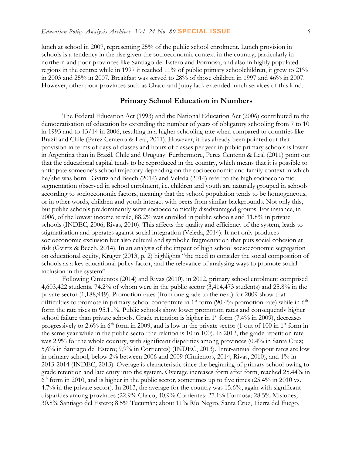lunch at school in 2007, representing 25% of the public school enrolment. Lunch provision in schools is a tendency in the rise given the socioeconomic context in the country, particularly in northern and poor provinces like Santiago del Estero and Formosa, and also in highly populated regions in the centre: while in 1997 it reached 11% of public primary schoolchildren, it grew to 21% in 2003 and 25% in 2007. Breakfast was served to 28% of those children in 1997 and 46% in 2007. However, other poor provinces such as Chaco and Jujuy lack extended lunch services of this kind.

### **Primary School Education in Numbers**

The Federal Education Act (1993) and the National Education Act (2006) contributed to the democratisation of education by extending the number of years of obligatory schooling from 7 to 10 in 1993 and to 13/14 in 2006, resulting in a higher schooling rate when compared to countries like Brazil and Chile (Perez Centeno & Leal, 2011). However, it has already been pointed out that provision in terms of days of classes and hours of classes per year in public primary schools is lower in Argentina than in Brazil, Chile and Uruguay. Furthermore, Perez Centeno & Leal (2011) point out that the educational capital tends to be reproduced in the country, which means that it is possible to anticipate someone's school trajectory depending on the socioeconomic and family context in which he/she was born. Gvirtz and Beech (2014) and Veleda (2014) refer to the high socioeconomic segmentation observed in school enrolment, i.e. children and youth are naturally grouped in schools according to socioeconomic factors, meaning that the school population tends to be homogeneous, or in other words, children and youth interact with peers from similar backgrounds. Not only this, but public schools predominantly serve socioeconomically disadvantaged groups. For instance, in 2006, of the lowest income tercile, 88.2% was enrolled in public schools and 11.8% in private schools (INDEC, 2006; Rivas, 2010). This affects the quality and efficiency of the system, leads to stigmatisation and operates against social integration (Veleda, 2014). It not only produces socioeconomic exclusion but also cultural and symbolic fragmentation that puts social cohesion at risk (Gvirtz & Beech, 2014). In an analysis of the impact of high school socioeconomic segregation on educational equity, Krüger (2013, p. 2) highlights "the need to consider the social composition of schools as a key educational policy factor, and the relevance of analysing ways to promote social inclusion in the system".

Following Cimientos (2014) and Rivas (2010), in 2012, primary school enrolment comprised 4,603,422 students, 74.2% of whom were in the public sector (3,414,473 students) and 25.8% in the private sector (1,188,949). Promotion rates (from one grade to the next) for 2009 show that difficulties to promote in primary school concentrate in  $1<sup>st</sup>$  form (90.4% promotion rate) while in  $6<sup>th</sup>$ form the rate rises to 95.11%. Public schools show lower promotion rates and consequently higher school failure than private schools. Grade retention is higher in 1<sup>st</sup> form (7.4% in 2009), decreases progressively to 2.6% in  $6<sup>th</sup>$  form in 2009, and is low in the private sector (1 out of 100 in 1<sup>st</sup> form in the same year while in the public sector the relation is 10 in 100). In 2012, the grade repetition rate was 2.9% for the whole country, with significant disparities among provinces (0.4% in Santa Cruz; 5,6% in Santiago del Estero; 9,9% in Corrientes) (INDEC, 2013). Inter-annual dropout rates are low in primary school, below 2% between 2006 and 2009 (Cimientos, 2014; Rivas, 2010), and 1% in 2013-2014 (INDEC, 2013). Overage is characteristic since the beginning of primary school owing to grade retention and late entry into the system. Overage increases form after form, reached 25.44% in 6<sup>th</sup> form in 2010, and is higher in the public sector, sometimes up to five times (25.4% in 2010 vs. 4.7% in the private sector). In 2013, the average for the country was 15.6%, again with significant disparities among provinces (22.9% Chaco; 40.9% Corrientes; 27.1% Formosa; 28.5% Misiones; 30.8% Santiago del Estero; 8.5% Tucumán; about 11% Río Negro, Santa Cruz, Tierra del Fuego,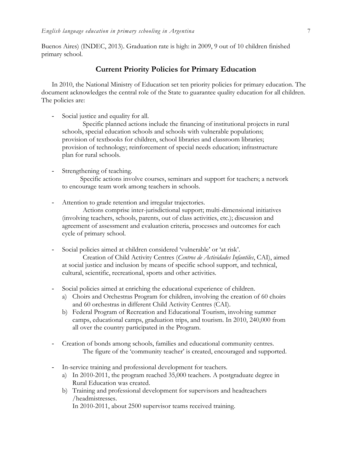Buenos Aires) (INDEC, 2013). Graduation rate is high: in 2009, 9 out of 10 children finished primary school.

## **Current Priority Policies for Primary Education**

In 2010, the National Ministry of Education set ten priority policies for primary education. The document acknowledges the central role of the State to guarantee quality education for all children. The policies are:

Social justice and equality for all.

Specific planned actions include the financing of institutional projects in rural schools, special education schools and schools with vulnerable populations; provision of textbooks for children, school libraries and classroom libraries; provision of technology; reinforcement of special needs education; infrastructure plan for rural schools.

- Strengthening of teaching.

Specific actions involve courses, seminars and support for teachers; a network to encourage team work among teachers in schools.

- Attention to grade retention and irregular trajectories.

Actions comprise inter-jurisdictional support; multi-dimensional initiatives (involving teachers, schools, parents, out of class activities, etc.); discussion and agreement of assessment and evaluation criteria, processes and outcomes for each cycle of primary school.

- Social policies aimed at children considered 'vulnerable' or 'at risk'.

Creation of Child Activity Centres (*Centros de Actividades Infantiles*, CAI), aimed at social justice and inclusion by means of specific school support, and technical, cultural, scientific, recreational, sports and other activities.

- Social policies aimed at enriching the educational experience of children.
	- a) Choirs and Orchestras Program for children, involving the creation of 60 choirs and 60 orchestras in different Child Activity Centres (CAI).
	- b) Federal Program of Recreation and Educational Tourism, involving summer camps, educational camps, graduation trips, and tourism. In 2010, 240,000 from all over the country participated in the Program.
- Creation of bonds among schools, families and educational community centres. The figure of the 'community teacher' is created, encouraged and supported.
- In-service training and professional development for teachers.
	- a) In 2010-2011, the program reached 35,000 teachers. A postgraduate degree in Rural Education was created.
	- b) Training and professional development for supervisors and headteachers /headmistresses.

In 2010-2011, about 2500 supervisor teams received training.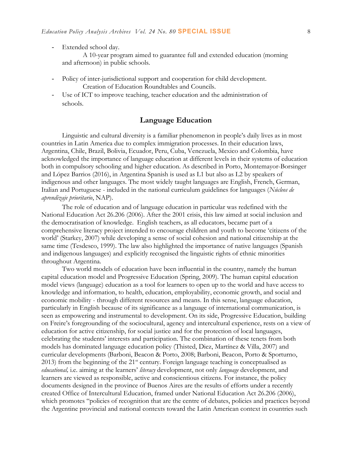Extended school day.

A 10-year program aimed to guarantee full and extended education (morning and afternoon) in public schools.

- Policy of inter-jurisdictional support and cooperation for child development. Creation of Education Roundtables and Councils.
- Use of ICT to improve teaching, teacher education and the administration of schools.

## **Language Education**

Linguistic and cultural diversity is a familiar phenomenon in people's daily lives as in most countries in Latin America due to complex immigration processes. In their education laws, Argentina, Chile, Brazil, Bolivia, Ecuador, Peru, Cuba, Venezuela, Mexico and Colombia, have acknowledged the importance of language education at different levels in their systems of education both in compulsory schooling and higher education. As described in Porto, Montemayor-Borsinger and López Barrios (2016), in Argentina Spanish is used as L1 but also as L2 by speakers of indigenous and other languages. The most widely taught languages are English, French, German, Italian and Portuguese - included in the national curriculum guidelines for languages (*Núcleos de aprendizaje prioritario*, NAP).

The role of education and of language education in particular was redefined with the National Education Act 26.206 (2006). After the 2001 crisis, this law aimed at social inclusion and the democratisation of knowledge. English teachers, as all educators, became part of a comprehensive literacy project intended to encourage children and youth to become 'citizens of the world' (Starkey, 2007) while developing a sense of social cohesion and national citizenship at the same time (Tesdesco, 1999). The law also highlighted the importance of native languages (Spanish and indigenous languages) and explicitly recognised the linguistic rights of ethnic minorities throughout Argentina.

Two world models of education have been influential in the country, namely the human capital education model and Progressive Education (Spring, 2009). The human capital education model views (language) education as a tool for learners to open up to the world and have access to knowledge and information, to health, education, employability, economic growth, and social and economic mobility - through different resources and means. In this sense, language education, particularly in English because of its significance as a language of international communication, is seen as empowering and instrumental to development. On its side, Progressive Education, building on Freire's foregrounding of the sociocultural, agency and intercultural experience, rests on a view of education for active citizenship, for social justice and for the protection of local languages, celebrating the students' interests and participation. The combination of these tenets from both models has dominated language education policy (Thisted, Diez, Martínez & Villa, 2007) and curricular developments (Barboni, Beacon & Porto, 2008; Barboni, Beacon, Porto & Sporturno, 2013) from the beginning of the  $21<sup>st</sup>$  century. Foreign language teaching is conceptualised as *educational,* i.e. aiming at the learners' *literacy* development, not only *language* development, and learners are viewed as responsible, active and conscientious citizens. For instance, the policy documents designed in the province of Buenos Aires are the results of efforts under a recently created Office of Intercultural Education, framed under National Education Act 26.206 (2006), which promotes "policies of recognition that are the centre of debates, policies and practices beyond the Argentine provincial and national contexts toward the Latin American context in countries such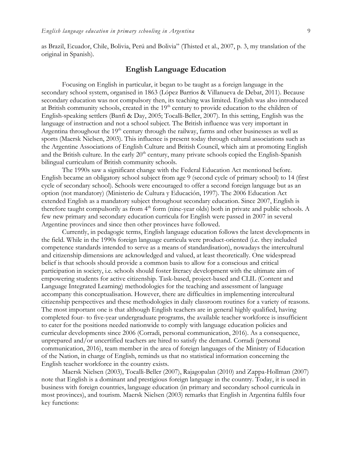as Brazil, Ecuador, Chile, Bolivia, Perú and Bolivia" (Thisted et al., 2007, p. 3, my translation of the original in Spanish).

## **English Language Education**

Focusing on English in particular, it began to be taught as a foreign language in the secondary school system, organised in 1863 (López Barrios & Villanueva de Debat, 2011). Because secondary education was not compulsory then, its teaching was limited. English was also introduced at British community schools, created in the 19<sup>th</sup> century to provide education to the children of English-speaking settlers (Banfi & Day, 2005; Tocalli-Beller, 2007). In this setting, English was the language of instruction and not a school subject. The British influence was very important in Argentina throughout the 19<sup>th</sup> century through the railway, farms and other businesses as well as sports (Maersk Nielsen, 2003). This influence is present today through cultural associations such as the Argentine Associations of English Culture and British Council, which aim at promoting English and the British culture. In the early  $20<sup>th</sup>$  century, many private schools copied the English-Spanish bilingual curriculum of British community schools.

The 1990s saw a significant change with the Federal Education Act mentioned before. English became an obligatory school subject from age 9 (second cycle of primary school) to 14 (first cycle of secondary school). Schools were encouraged to offer a second foreign language but as an option (not mandatory) (Ministerio de Cultura y Educación, 1997). The 2006 Education Act extended English as a mandatory subject throughout secondary education. Since 2007, English is therefore taught compulsorily as from 4<sup>th</sup> form (nine-year olds) both in private and public schools. A few new primary and secondary education curricula for English were passed in 2007 in several Argentine provinces and since then other provinces have followed.

Currently, in pedagogic terms, English language education follows the latest developments in the field. While in the 1990s foreign language curricula were product-oriented (i.e. they included competence standards intended to serve as a means of standardisation), nowadays the intercultural and citizenship dimensions are acknowledged and valued, at least theoretically. One widespread belief is that schools should provide a common basis to allow for a conscious and critical participation in society, i.e. schools should foster literacy development with the ultimate aim of empowering students for active citizenship. Task-based, project-based and CLIL (Content and Language Integrated Learning) methodologies for the teaching and assessment of language accompany this conceptualisation. However, there are difficulties in implementing intercultural citizenship perspectives and these methodologies in daily classroom routines for a variety of reasons. The most important one is that although English teachers are in general highly qualified, having completed four- to five-year undergraduate programs, the available teacher workforce is insufficient to cater for the positions needed nationwide to comply with language education policies and curricular developments since 2006 (Corradi, personal communication, 2016). As a consequence, unprepared and/or uncertified teachers are hired to satisfy the demand. Corradi (personal communication, 2016), team member in the area of foreign languages of the Ministry of Education of the Nation, in charge of English, reminds us that no statistical information concerning the English teacher workforce in the country exists.

Maersk Nielsen (2003), Tocalli-Beller (2007), Rajagopalan (2010) and Zappa-Hollman (2007) note that English is a dominant and prestigious foreign language in the country. Today, it is used in business with foreign countries, language education (in primary and secondary school curricula in most provinces), and tourism. Maersk Nielsen (2003) remarks that English in Argentina fulfils four key functions: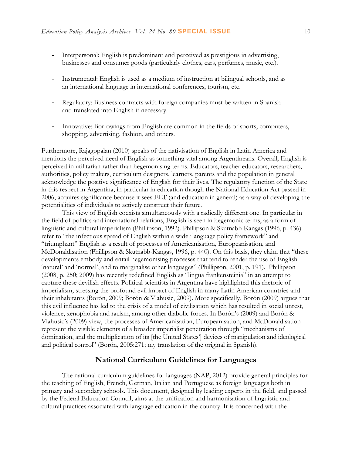- Interpersonal: English is predominant and perceived as prestigious in advertising, businesses and consumer goods (particularly clothes, cars, perfumes, music, etc.).
- Instrumental: English is used as a medium of instruction at bilingual schools, and as an international language in international conferences, tourism, etc.
- Regulatory: Business contracts with foreign companies must be written in Spanish and translated into English if necessary.
- Innovative: Borrowings from English are common in the fields of sports, computers, shopping, advertising, fashion, and others.

Furthermore, Rajagopalan (2010) speaks of the nativisation of English in Latin America and mentions the perceived need of English as something vital among Argentineans. Overall, English is perceived in utilitarian rather than hegemonising terms. Educators, teacher educators, researchers, authorities, policy makers, curriculum designers, learners, parents and the population in general acknowledge the positive significance of English for their lives. The regulatory function of the State in this respect in Argentina, in particular in education though the National Education Act passed in 2006, acquires significance because it sees ELT (and education in general) as a way of developing the potentialities of individuals to actively construct their future.

This view of English coexists simultaneously with a radically different one. In particular in the field of politics and international relations, English is seen in hegemonic terms, as a form of linguistic and cultural imperialism (Phillipson, 1992). Phillipson & Skutnabb-Kangas (1996, p. 436) refer to "the infectious spread of English within a wider language policy framework" and "triumphant" English as a result of processes of Americanisation, Europeanisation, and McDonaldisation (Phillipson & Skutnabb-Kangas, 1996, p. 440). On this basis, they claim that "these developments embody and entail hegemonising processes that tend to render the use of English 'natural' and 'normal', and to marginalise other languages" (Phillipson, 2001, p. 191). Phillipson (2008, p. 250; 2009) has recently redefined English as "lingua frankensteinia" in an attempt to capture these devilish effects. Political scientists in Argentina have highlighted this rhetoric of imperialism, stressing the profound evil impact of English in many Latin American countries and their inhabitants (Borón, 2009; Borón & Vlahusic, 2009). More specifically, Borón (2009) argues that this evil influence has led to the crisis of a model of civilisation which has resulted in social unrest, violence, xenophobia and racism, among other diabolic forces. In Borón's (2009) and Borón & Vlahusic's (2009) view, the processes of Americanisation, Europeanisation, and McDonaldisation represent the visible elements of a broader imperialist penetration through "mechanisms of domination, and the multiplication of its [the United States'] devices of manipulation and ideological and political control" (Borón, 2005:271; my translation of the original in Spanish).

## **National Curriculum Guidelines for Languages**

The national curriculum guidelines for languages (NAP, 2012) provide general principles for the teaching of English, French, German, Italian and Portuguese as foreign languages both in primary and secondary schools. This document, designed by leading experts in the field, and passed by the Federal Education Council, aims at the unification and harmonisation of linguistic and cultural practices associated with language education in the country. It is concerned with the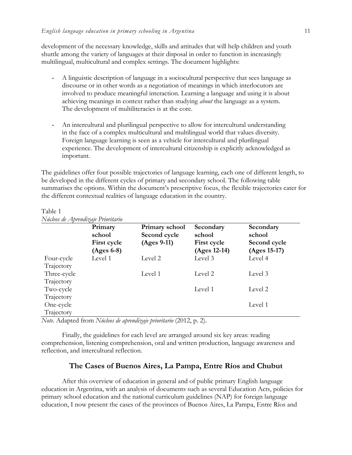development of the necessary knowledge, skills and attitudes that will help children and youth shuttle among the variety of languages at their disposal in order to function in increasingly multilingual, multicultural and complex settings. The document highlights:

- A linguistic description of language in a sociocultural perspective that sees language as discourse or in other words as a negotiation of meanings in which interlocutors are involved to produce meaningful interaction. Learning a language and using it is about achieving meanings in context rather than studying *about* the language as a system. The development of multiliteracies is at the core.
- An intercultural and plurilingual perspective to allow for intercultural understanding in the face of a complex multicultural and multilingual world that values diversity. Foreign language learning is seen as a vehicle for intercultural and plurilingual experience. The development of intercultural citizenship is explicitly acknowledged as important.

The guidelines offer four possible trajectories of language learning, each one of different length, to be developed in the different cycles of primary and secondary school. The following table summarises the options. Within the document's prescriptive focus, the flexible trajectories cater for the different contextual realities of language education in the country.

|                           | Primary<br>school<br><b>First cycle</b><br>$(Ages 6-8)$ | Primary school<br>Second cycle<br>(Ages 9-11) | Secondary<br>school<br><b>First cycle</b><br>(Ages 12-14) | Secondary<br>school<br>Second cycle<br>(Ages 15-17) |
|---------------------------|---------------------------------------------------------|-----------------------------------------------|-----------------------------------------------------------|-----------------------------------------------------|
| Four-cycle<br>Trajectory  | Level 1                                                 | Level 2                                       | Level 3                                                   | Level 4                                             |
| Three-cycle<br>Trajectory |                                                         | Level 1                                       | Level 2                                                   | Level 3                                             |
| Two-cycle                 |                                                         |                                               | Level 1                                                   | Level 2                                             |
| Trajectory<br>One-cycle   |                                                         |                                               |                                                           | Level 1                                             |
| Trajectory                |                                                         |                                               |                                                           |                                                     |

Table 1 *Núcleos de Aprendizaje Prioritario*

*Note*. Adapted from *Núcleos de aprendizaje prioritario* (2012, p. 2).

Finally, the guidelines for each level are arranged around six key areas: reading comprehension, listening comprehension, oral and written production, language awareness and reflection, and intercultural reflection.

## **The Cases of Buenos Aires, La Pampa, Entre Ríos and Chubut**

After this overview of education in general and of public primary English language education in Argentina, with an analysis of documents such as several Education Acts, policies for primary school education and the national curriculum guidelines (NAP) for foreign language education, I now present the cases of the provinces of Buenos Aires, La Pampa, Entre Ríos and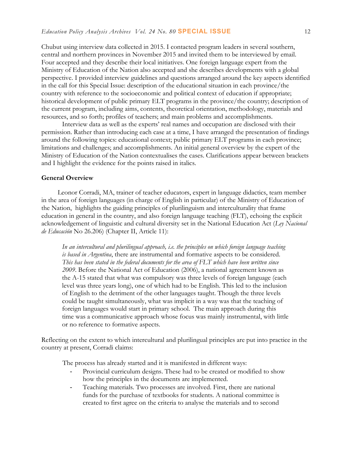Chubut using interview data collected in 2015. I contacted program leaders in several southern, central and northern provinces in November 2015 and invited them to be interviewed by email. Four accepted and they describe their local initiatives. One foreign language expert from the Ministry of Education of the Nation also accepted and she describes developments with a global perspective. I provided interview guidelines and questions arranged around the key aspects identified in the call for this Special Issue: description of the educational situation in each province/the country with reference to the socioeconomic and political context of education if appropriate; historical development of public primary ELT programs in the province/the country; description of the current program, including aims, contents, theoretical orientation, methodology, materials and resources, and so forth; profiles of teachers; and main problems and accomplishments.

Interview data as well as the experts' real names and occupation are disclosed with their permission. Rather than introducing each case at a time, I have arranged the presentation of findings around the following topics: educational context; public primary ELT programs in each province; limitations and challenges; and accomplishments. An initial general overview by the expert of the Ministry of Education of the Nation contextualises the cases. Clarifications appear between brackets and I highlight the evidence for the points raised in italics.

#### **General Overview**

Leonor Corradi, MA, trainer of teacher educators, expert in language didactics, team member in the area of foreign languages (in charge of English in particular) of the Ministry of Education of the Nation, highlights the guiding principles of plurilinguism and interculturality that frame education in general in the country, and also foreign language teaching (FLT), echoing the explicit acknowledgement of linguistic and cultural diversity set in the National Education Act (*Ley Nacional de Educación* No 26.206) (Chapter II, Article 11):

*In an intercultural and plurilingual approach, i.e. the principles on which foreign language teaching is based in Argentina*, there are instrumental and formative aspects to be considered. *This has been stated in the federal documents for the area of FLT which have been written since 2009*. Before the National Act of Education (2006), a national agreement known as the A-15 stated that what was compulsory was three levels of foreign language (each level was three years long), one of which had to be English. This led to the inclusion of English to the detriment of the other languages taught. Though the three levels could be taught simultaneously, what was implicit in a way was that the teaching of foreign languages would start in primary school. The main approach during this time was a communicative approach whose focus was mainly instrumental, with little or no reference to formative aspects.

Reflecting on the extent to which intercultural and plurilingual principles are put into practice in the country at present, Corradi claims:

The process has already started and it is manifested in different ways:

- Provincial curriculum designs. These had to be created or modified to show how the principles in the documents are implemented.
- Teaching materials. Two processes are involved. First, there are national funds for the purchase of textbooks for students. A national committee is created to first agree on the criteria to analyse the materials and to second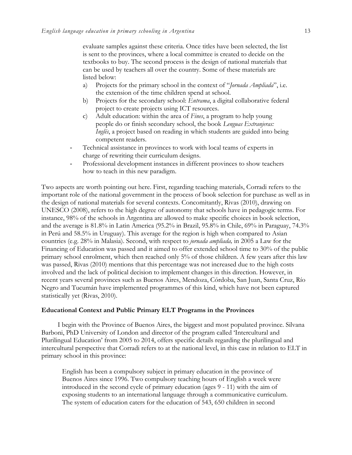evaluate samples against these criteria. Once titles have been selected, the list is sent to the provinces, where a local committee is created to decide on the textbooks to buy. The second process is the design of national materials that can be used by teachers all over the country. Some of these materials are listed below:

- a) Projects for the primary school in the context of "*Jornada Ampliada*", i.e. the extension of the time children spend at school.
- b) Projects for the secondary school: *Entrama*, a digital collaborative federal project to create projects using ICT resources.
- c) Adult education: within the area of *Fines*, a program to help young people do or finish secondary school, the book *Lenguas Extranjeras: Inglés*, a project based on reading in which students are guided into being competent readers.
- Technical assistance in provinces to work with local teams of experts in charge of rewriting their curriculum designs.
- Professional development instances in different provinces to show teachers how to teach in this new paradigm.

Two aspects are worth pointing out here. First, regarding teaching materials, Corradi refers to the important role of the national government in the process of book selection for purchase as well as in the design of national materials for several contexts. Concomitantly, Rivas (2010), drawing on UNESCO (2008), refers to the high degree of autonomy that schools have in pedagogic terms. For instance, 98% of the schools in Argentina are allowed to make specific choices in book selection, and the average is 81.8% in Latin America (95.2% in Brazil, 95.8% in Chile, 69% in Paraguay, 74.3% in Perú and 58.5% in Uruguay). This average for the region is high when compared to Asian countries (e.g. 28% in Malasia). Second, with respect to *jornada ampliada,* in 2005 a Law for the Financing of Education was passed and it aimed to offer extended school time to 30% of the public primary school enrolment, which then reached only 5% of those children. A few years after this law was passed, Rivas (2010) mentions that this percentage was not increased due to the high costs involved and the lack of political decision to implement changes in this direction. However, in recent years several provinces such as Buenos Aires, Mendoza, Córdoba, San Juan, Santa Cruz, Río Negro and Tucumán have implemented programmes of this kind, which have not been captured statistically yet (Rivas, 2010).

### **Educational Context and Public Primary ELT Programs in the Provinces**

I begin with the Province of Buenos Aires, the biggest and most populated province. Silvana Barboni, PhD University of London and director of the program called 'Intercultural and Plurilingual Education' from 2005 to 2014, offers specific details regarding the plurilingual and intercultural perspective that Corradi refers to at the national level, in this case in relation to ELT in primary school in this province:

English has been a compulsory subject in primary education in the province of Buenos Aires since 1996. Two compulsory teaching hours of English a week were introduced in the second cycle of primary education (ages 9 - 11) with the aim of exposing students to an international language through a communicative curriculum. The system of education caters for the education of 543, 650 children in second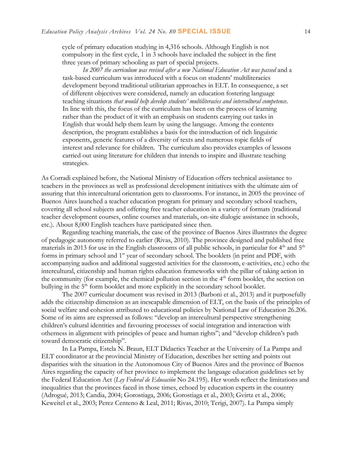cycle of primary education studying in 4,316 schools. Although English is not compulsory in the first cycle, 1 in 3 schools have included the subject in the first three years of primary schooling as part of special projects.

*In 2007 the curriculum was revised after a new National Education Act was passed* and a task-based curriculum was introduced with a focus on students' multiliteracies development beyond traditional utilitarian approaches in ELT. In consequence, a set of different objectives were considered, namely an education fostering language teaching situations *that would help develop students' multiliteracies and intercultural competence*. In line with this, the focus of the curriculum has been on the process of learning rather than the product of it with an emphasis on students carrying out tasks in English that would help them learn by using the language. Among the contents description, the program establishes a basis for the introduction of rich linguistic exponents, generic features of a diversity of texts and numerous topic fields of interest and relevance for children. The curriculum also provides examples of lessons carried out using literature for children that intends to inspire and illustrate teaching strategies.

As Corradi explained before, the National Ministry of Education offers technical assistance to teachers in the provinces as well as professional development initiatives with the ultimate aim of assuring that this intercultural orientation gets to classrooms. For instance, in 2005 the province of Buenos Aires launched a teacher education program for primary and secondary school teachers, covering all school subjects and offering free teacher education in a variety of formats (traditional teacher development courses, online courses and materials, on-site dialogic assistance in schools, etc.). About 8,000 English teachers have participated since then.

Regarding teaching materials, the case of the province of Buenos Aires illustrates the degree of pedagogic autonomy referred to earlier (Rivas, 2010). The province designed and published free materials in 2013 for use in the English classrooms of all public schools, in particular for  $4<sup>th</sup>$  and  $5<sup>th</sup>$ forms in primary school and 1<sup>st</sup> year of secondary school. The booklets (in print and PDF, with accompanying audios and additional suggested activities for the classroom, e-activities, etc.) echo the intercultural, citizenship and human rights education frameworks with the pillar of taking action in the community (for example, the chemical pollution section in the  $4<sup>th</sup>$  form booklet, the section on bullying in the 5<sup>th</sup> form booklet and more explicitly in the secondary school booklet.

The 2007 curricular document was revised in 2013 (Barboni et al., 2013) and it purposefully adds the citizenship dimension as an inescapable dimension of ELT, on the basis of the principles of social welfare and cohesion attributed to educational policies by National Law of Education 26.206. Some of its aims are expressed as follows: "develop an intercultural perspective strengthening children's cultural identities and favouring processes of social integration and interaction with otherness in alignment with principles of peace and human rights"; and "develop children's path toward democratic citizenship".

In La Pampa, Estela N. Braun, ELT Didactics Teacher at the University of La Pampa and ELT coordinator at the provincial Ministry of Education, describes her setting and points out disparities with the situation in the Autonomous City of Buenos Aires and the province of Buenos Aires regarding the capacity of her province to implement the language education guidelines set by the Federal Education Act (*Ley Federal de Educación* No 24.195). Her words reflect the limitations and inequalities that the provinces faced in those times, echoed by education experts in the country (Adrogué, 2013; Candia, 2004; Gorostiaga, 2006; Gorostiaga et al., 2003; Gvirtz et al., 2006; Keweitel et al., 2003; Perez Centeno & Leal, 2011; Rivas, 2010; Terigi, 2007). La Pampa simply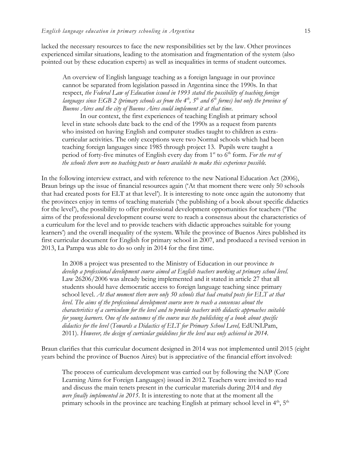lacked the necessary resources to face the new responsibilities set by the law. Other provinces experienced similar situations, leading to the atomisation and fragmentation of the system (also pointed out by these education experts) as well as inequalities in terms of student outcomes.

An overview of English language teaching as a foreign language in our province cannot be separated from legislation passed in Argentina since the 1990s. In that respect, *the Federal Law of Education issued in 1993 stated the possibility of teaching foreign languages since EGB 2 (primary schools as from the 4th, 5th and 6th forms) but only the province of Buenos Aires and the city of Buenos Aires could implement it at that time*.

In our context, the first experiences of teaching English at primary school level in state schools date back to the end of the 1990s as a request from parents who insisted on having English and computer studies taught to children as extracurricular activities. The only exceptions were two Normal schools which had been teaching foreign languages since 1985 through project 13. Pupils were taught a period of forty-five minutes of English every day from 1<sup>st</sup> to 6<sup>th</sup> form. For the rest of *the schools there were no teaching posts or hours available to make this experience possible.* 

In the following interview extract, and with reference to the new National Education Act (2006), Braun brings up the issue of financial resources again ('At that moment there were only 50 schools that had created posts for ELT at that level'). It is interesting to note once again the autonomy that the provinces enjoy in terms of teaching materials ('the publishing of a book about specific didactics for the level'), the possibility to offer professional development opportunities for teachers ('The aims of the professional development course were to reach a consensus about the characteristics of a curriculum for the level and to provide teachers with didactic approaches suitable for young learners') and the overall inequality of the system. While the province of Buenos Aires published its first curricular document for English for primary school in 2007, and produced a revised version in 2013, La Pampa was able to do so only in 2014 for the first time.

In 2008 a project was presented to the Ministry of Education in our province *to develop a professional development course aimed at English teachers working at primary school level.* Law 26206/2006 was already being implemented and it stated in article 27 that all students should have democratic access to foreign language teaching since primary school level. *At that moment there were only 50 schools that had created posts for ELT at that level. The aims of the professional development course were to reach a consensus about the characteristics of a curriculum for the level and to provide teachers with didactic approaches suitable for young learners. One of the outcomes of the course was the publishing of a book about specific didactics for the level* (*Towards a Didactics of ELT for Primary School Level,* EdUNLPam, 2011). *However, the design of curricular guidelines for the level was only achieved in 2014.*

Braun clarifies that this curricular document designed in 2014 was not implemented until 2015 (eight years behind the province of Buenos Aires) but is appreciative of the financial effort involved:

The process of curriculum development was carried out by following the NAP (Core Learning Aims for Foreign Languages) issued in 2012. Teachers were invited to read and discuss the main tenets present in the curricular materials during 2014 and *they were finally implemented in 2015*. It is interesting to note that at the moment all the primary schools in the province are teaching English at primary school level in  $4<sup>th</sup>$ ,  $5<sup>th</sup>$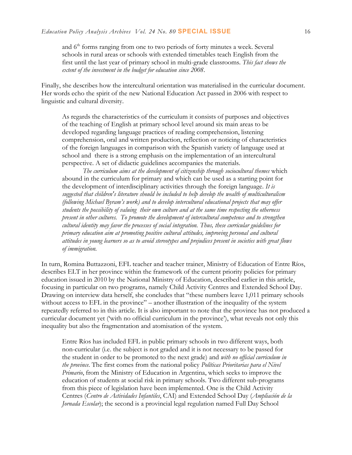and 6<sup>th</sup> forms ranging from one to two periods of forty minutes a week. Several schools in rural areas or schools with extended timetables teach English from the first until the last year of primary school in multi-grade classrooms. *This fact shows the extent of the investment in the budget for education since 2008*.

Finally, she describes how the intercultural orientation was materialised in the curricular document. Her words echo the spirit of the new National Education Act passed in 2006 with respect to linguistic and cultural diversity.

As regards the characteristics of the curriculum it consists of purposes and objectives of the teaching of English at primary school level around six main areas to be developed regarding language practices of reading comprehension, listening comprehension, oral and written production, reflection or noticing of characteristics of the foreign languages in comparison with the Spanish variety of language used at school and there is a strong emphasis on the implementation of an intercultural perspective. A set of didactic guidelines accompanies the materials.

*The curriculum aims at the development of citizenship through sociocultural themes* which abound in the curriculum for primary and which can be used as a starting point for the development of interdisciplinary activities through the foreign language. *It is suggested that children's literature should be included to help develop the wealth of multiculturalism (following Michael Byram's work) and to develop intercultural educational projects that may offer students the possibility of valuing their own culture and at the same time respecting the otherness present in other cultures. To promote the development of intercultural competence and to strengthen cultural identity may favor the processes of social integration. Thus, these curricular guidelines for primary education aim at promoting positive cultural attitudes, improving personal and cultural attitudes in young learners so as to avoid stereotypes and prejudices present in societies with great flows of immigration.*

In turn, Romina Buttazzoni, EFL teacher and teacher trainer, Ministry of Education of Entre Ríos, describes ELT in her province within the framework of the current priority policies for primary education issued in 2010 by the National Ministry of Education, described earlier in this article, focusing in particular on two programs, namely Child Activity Centres and Extended School Day. Drawing on interview data herself, she concludes that "these numbers leave 1,011 primary schools without access to EFL in the province" – another illustration of the inequality of the system repeatedly referred to in this article. It is also important to note that the province has not produced a curricular document yet ('with no official curriculum in the province'), what reveals not only this inequality but also the fragmentation and atomisation of the system.

Entre Ríos has included EFL in public primary schools in two different ways, both non-curricular (i.e. the subject is not graded and it is not necessary to be passed for the student in order to be promoted to the next grade) and *with no official curriculum in the province*. The first comes from the national policy *Políticas Prioritarias para el Nivel Primario*, from the Ministry of Education in Argentina, which seeks to improve the education of students at social risk in primary schools. Two different sub-programs from this piece of legislation have been implemented. One is the Child Activity Centres (*Centro de Actividades Infantiles*, CAI) and Extended School Day (*Ampliación de la Jornada Escolar*); the second is a provincial legal regulation named Full Day School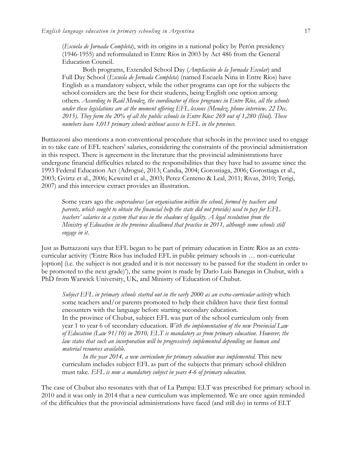(*Escuela de Jornada Completa*), with its origins in a national policy by Perón presidency (1946-1955) and reformulated in Entre Ríos in 2003 by Act 486 from the General Education Council.

Both programs, Extended School Day (*Ampliación de la Jornada Escolar*) and Full Day School (*Escuela de Jornada Completa*) (named Escuela Nina in Entre Ríos) have English as a mandatory subject, while the other programs can opt for the subjects the school considers are the best for their students, being English one option among others. *According to Raúl Mendez, the coordinator of these programs in Entre Ríos, all the schools under these legislations are at the moment offering EFL lessons (Mendez, phone interview, 22 Dec. 2015). They form the 20% of all the public schools in Entre Ríos: 269 out of 1,280 (Ibid). These numbers leave 1,011 primary schools without access to EFL in the province.*

Buttazzoni also mentions a non-conventional procedure that schools in the province used to engage in to take care of EFL teachers' salaries, considering the constraints of the provincial administration in this respect. There is agreement in the literature that the provincial administrations have undergone financial difficulties related to the responsibilities that they have had to assume since the 1993 Federal Education Act (Adrogué, 2013; Candia, 2004; Gorostiaga, 2006; Gorostiaga et al., 2003; Gvirtz et al., 2006; Keweitel et al., 2003; Perez Centeno & Leal, 2011; Rivas, 2010; Terigi, 2007) and this interview extract provides an illustration.

Some years ago the *cooperadoras* (*an organisation within the school, formed by teachers and parents, which sought to obtain the financial help the state did not provide) used to pay for EFL teachers' salaries in a system that was in the shadows of legality. A legal resolution from the Ministry of Education in the province disallowed that practice in 2011, although some schools still engage in it*.

Just as Buttazzoni says that EFL began to be part of primary education in Entre Ríos as an extracurricular activity ('Entre Ríos has included EFL in public primary schools in … non-curricular [option] (i.e. the subject is not graded and it is not necessary to be passed for the student in order to be promoted to the next grade)'), the same point is made by Darío Luis Banegas in Chubut, with a PhD from Warwick University, UK, and Ministry of Education of Chubut.

*Subject EFL in primary schools started out in the early 2000 as an extra-curricular activity* which some teachers and/or parents promoted to help their children have their first formal encounters with the language before starting secondary education.

In the province of Chubut, subject EFL was part of the school curriculum only from year 1 to year 6 of secondary education. *With the implementation of the new Provincial Law of Education (Law 91/10) in 2010, ELT is mandatory as from primary education*. *However, the law states that such an incorporation will be progressively implemented depending on human and material resources available.* 

*In the year 2014, a new curriculum for primary education was implemented.* This new curriculum includes subject EFL as part of the subjects that primary school children must take. *EFL is now a mandatory subject in years 4-6 of primary education.* 

The case of Chubut also resonates with that of La Pampa: ELT was prescribed for primary school in 2010 and it was only in 2014 that a new curriculum was implemented. We are once again reminded of the difficulties that the provincial administrations have faced (and still do) in terms of ELT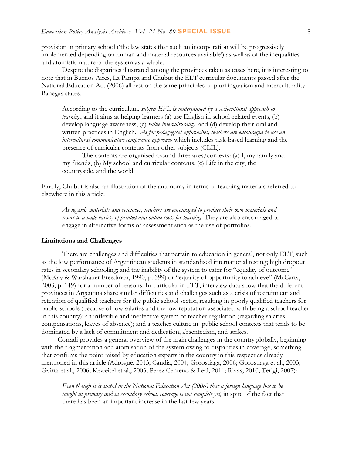provision in primary school ('the law states that such an incorporation will be progressively implemented depending on human and material resources available') as well as of the inequalities and atomistic nature of the system as a whole.

Despite the disparities illustrated among the provinces taken as cases here, it is interesting to note that in Buenos Aires, La Pampa and Chubut the ELT curricular documents passed after the National Education Act (2006) all rest on the same principles of plurilingualism and interculturality. Banegas states:

According to the curriculum, *subject EFL is underpinned by a sociocultural approach to learning*, and it aims at helping learners (a) use English in school-related events, (b) develop language awareness, (c) *value interculturality*, and (d) develop their oral and written practices in English. *As for pedagogical approaches, teachers are encouraged to use an intercultural communicative competence approach* which includes task-based learning and the presence of curricular contents from other subjects (CLIL).

The contents are organised around three axes/contexts: (a) I, my family and my friends, (b) My school and curricular contents, (c) Life in the city, the countryside, and the world.

Finally, Chubut is also an illustration of the autonomy in terms of teaching materials referred to elsewhere in this article:

*As regards materials and resources, teachers are encouraged to produce their own materials and resort to a wide variety of printed and online tools for learning*. They are also encouraged to engage in alternative forms of assessment such as the use of portfolios.

#### **Limitations and Challenges**

There are challenges and difficulties that pertain to education in general, not only ELT, such as the low performance of Argentinean students in standardised international testing; high dropout rates in secondary schooling; and the inability of the system to cater for "equality of outcome" (McKay & Warshauer Freedman, 1990, p. 399) or "equality of opportunity to achieve" (McCarty, 2003, p. 149) for a number of reasons. In particular in ELT, interview data show that the different provinces in Argentina share similar difficulties and challenges such as a crisis of recruitment and retention of qualified teachers for the public school sector, resulting in poorly qualified teachers for public schools (because of low salaries and the low reputation associated with being a school teacher in this country); an inflexible and ineffective system of teacher regulation (regarding salaries, compensations, leaves of absence); and a teacher culture in public school contexts that tends to be dominated by a lack of commitment and dedication, absenteeism, and strikes.

Corradi provides a general overview of the main challenges in the country globally, beginning with the fragmentation and atomisation of the system owing to disparities in coverage, something that confirms the point raised by education experts in the country in this respect as already mentioned in this article (Adrogué, 2013; Candia, 2004; Gorostiaga, 2006; Gorostiaga et al., 2003; Gvirtz et al., 2006; Keweitel et al., 2003; Perez Centeno & Leal, 2011; Rivas, 2010; Terigi, 2007):

*Even though it is stated in the National Education Act (2006) that a foreign language has to be taught in primary and in secondary school, coverage is not complete yet,* in spite of the fact that there has been an important increase in the last few years.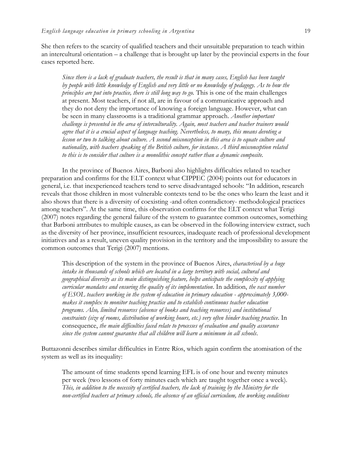She then refers to the scarcity of qualified teachers and their unsuitable preparation to teach within an intercultural orientation – a challenge that is brought up later by the provincial experts in the four cases reported here.

*Since there is a lack of graduate teachers, the result is that in many cases, English has been taught by people with little knowledge of English and very little or no knowledge of pedagogy. As to how the principles are put into practice, there is still long way to go.* This is one of the main challenges at present. Most teachers, if not all, are in favour of a communicative approach and they do not deny the importance of knowing a foreign language. However, what can be seen in many classrooms is a traditional grammar approach. *Another important challenge is presented in the area of interculturality. Again, most teachers and teacher trainers would agree that it is a crucial aspect of language teaching. Nevertheless, to many, this means devoting a lesson or two to talking about culture. A second misconception in this area is to equate culture and nationality, with teachers speaking of the British culture, for instance. A third misconception related to this is to consider that culture is a monolithic concept rather than a dynamic composite.*

In the province of Buenos Aires, Barboni also highlights difficulties related to teacher preparation and confirms for the ELT context what CIPPEC (2004) points out for educators in general, i.e. that inexperienced teachers tend to serve disadvantaged schools: "In addition, research reveals that those children in most vulnerable contexts tend to be the ones who learn the least and it also shows that there is a diversity of coexisting -and often contradictory- methodological practices among teachers". At the same time, this observation confirms for the ELT context what Terigi (2007) notes regarding the general failure of the system to guarantee common outcomes, something that Barboni attributes to multiple causes, as can be observed in the following interview extract, such as the diversity of her province, insufficient resources, inadequate reach of professional development initiatives and as a result, uneven quality provision in the territory and the impossibility to assure the common outcomes that Terigi (2007) mentions.

This description of the system in the province of Buenos Aires, *characterised by a huge intake in thousands of schools which are located in a large territory with social, cultural and geographical diversity as its main distinguishing feature, helps anticipate the complexity of applying curricular mandates and ensuring the quality of its implementation*. In addition, *the vast number of ESOL teachers working in the system of education in primary education - approximately 3,000 makes it complex to monitor teaching practice and to establish continuous teacher education programs. Also, limited resources (absence of books and teaching resources) and institutional constraints (size of rooms, distribution of working hours, etc.) very often hinder teaching practice*. In consequence, *the main difficulties faced relate to processes of evaluation and quality assurance since the system cannot guarantee that all children will learn a minimum in all schools*.

Buttazonni describes similar difficulties in Entre Ríos, which again confirm the atomisation of the system as well as its inequality:

The amount of time students spend learning EFL is of one hour and twenty minutes per week (two lessons of forty minutes each which are taught together once a week). *This, in addition to the necessity of certified teachers, the lack of training by the Ministry for the non-certified teachers at primary schools, the absence of an official curriculum, the working conditions*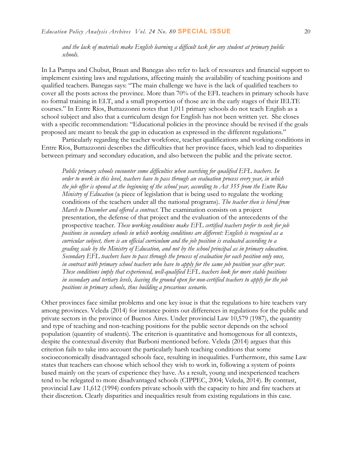*and the lack of materials make English learning a difficult task for any student at primary public schools.* 

In La Pampa and Chubut, Braun and Banegas also refer to lack of resources and financial support to implement existing laws and regulations, affecting mainly the availability of teaching positions and qualified teachers. Banegas says: "The main challenge we have is the lack of qualified teachers to cover all the posts across the province. More than 70% of the EFL teachers in primary schools have no formal training in ELT, and a small proportion of those are in the early stages of their IELTE courses." In Entre Ríos, Buttazzonni notes that 1,011 primary schools do not teach English as a school subject and also that a curriculum design for English has not been written yet. She closes with a specific recommendation: "Educational policies in the province should be revised if the goals proposed are meant to break the gap in education as expressed in the different regulations."

Particularly regarding the teacher workforce, teacher qualifications and working conditions in Entre Ríos, Buttazzonni describes the difficulties that her province faces, which lead to disparities between primary and secondary education, and also between the public and the private sector.

*Public primary schools encounter some difficulties when searching for qualified EFL teachers*. *In order to work in this level, teachers have to pass through an evaluation process every year, in which the job offer is opened at the beginning of the school year, according to Act 355 from the Entre Ríos Ministry of Education* (a piece of legislation that is being used to regulate the working conditions of the teachers under all the national programs). *The teacher then is hired from March to December and offered a contract.* The examination consists on a project presentation, the defense of that project and the evaluation of the antecedents of the prospective teacher. *These working conditions make EFL certified teachers prefer to seek for job positions in secondary schools in which working conditions are different: English is recognised as a curricular subject, there is an official curriculum and the job position is evaluated according to a grading scale by the Ministry of Education, and not by the school principal as in primary education. Secondary EFL teachers have to pass through the process of evaluation for each position only once, in contrast with primary school teachers who have to apply for the same job position year after year. These conditions imply that experienced, well-qualified EFL teachers look for more stable positions in secondary and tertiary levels, leaving the ground open for non-certified teachers to apply for the job positions in primary schools, thus building a precarious scenario*.

Other provinces face similar problems and one key issue is that the regulations to hire teachers vary among provinces. Veleda (2014) for instance points out differences in regulations for the public and private sectors in the province of Buenos Aires. Under provincial Law 10,579 (1987), the quantity and type of teaching and non-teaching positions for the public sector depends on the school population (quantity of students). The criterion is quantitative and homogenous for all contexts, despite the contextual diversity that Barboni mentioned before. Veleda (2014) argues that this criterion fails to take into account the particularly harsh teaching conditions that some socioeconomically disadvantaged schools face, resulting in inequalities. Furthermore, this same Law states that teachers can choose which school they wish to work in, following a system of points based mainly on the years of experience they have. As a result, young and inexperienced teachers tend to be relegated to more disadvantaged schools (CIPPEC, 2004; Veleda, 2014). By contrast, provincial Law 11,612 (1994) confers private schools with the capacity to hire and fire teachers at their discretion. Clearly disparities and inequalities result from existing regulations in this case.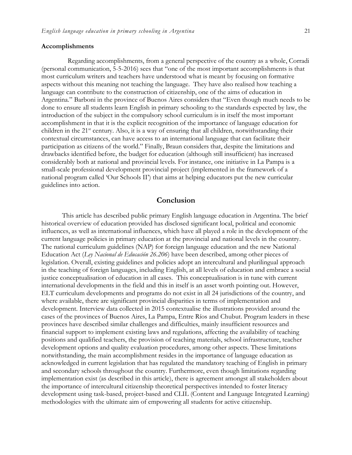#### **Accomplishments**

Regarding accomplishments, from a general perspective of the country as a whole, Corradi

(personal communication, 5-5-2016) sees that "one of the most important accomplishments is that most curriculum writers and teachers have understood what is meant by focusing on formative aspects without this meaning not teaching the language. They have also realised how teaching a language can contribute to the construction of citizenship, one of the aims of education in Argentina." Barboni in the province of Buenos Aires considers that "Even though much needs to be done to ensure all students learn English in primary schooling to the standards expected by law, the introduction of the subject in the compulsory school curriculum is in itself the most important accomplishment in that it is the explicit recognition of the importance of language education for children in the 21<sup>st</sup> century. Also, it is a way of ensuring that all children, notwithstanding their contextual circumstances, can have access to an international language that can facilitate their participation as citizens of the world." Finally, Braun considers that, despite the limitations and drawbacks identified before, the budget for education (although still insufficient) has increased considerably both at national and provincial levels. For instance, one initiative in La Pampa is a small-scale professional development provincial project (implemented in the framework of a national program called 'Our Schools II') that aims at helping educators put the new curricular guidelines into action.

### **Conclusion**

This article has described public primary English language education in Argentina. The brief historical overview of education provided has disclosed significant local, political and economic influences, as well as international influences, which have all played a role in the development of the current language policies in primary education at the provincial and national levels in the country. The national curriculum guidelines (NAP) for foreign language education and the new National Education Act (*Ley Nacional de Educación 26.206*) have been described, among other pieces of legislation. Overall, existing guidelines and policies adopt an intercultural and plurilingual approach in the teaching of foreign languages, including English, at all levels of education and embrace a social justice conceptualisation of education in all cases. This conceptualisation is in tune with current international developments in the field and this in itself is an asset worth pointing out. However, ELT curriculum developments and programs do not exist in all 24 jurisdictions of the country, and where available, there are significant provincial disparities in terms of implementation and development. Interview data collected in 2015 contextualise the illustrations provided around the cases of the provinces of Buenos Aires, La Pampa, Entre Ríos and Chubut. Program leaders in these provinces have described similar challenges and difficulties, mainly insufficient resources and financial support to implement existing laws and regulations, affecting the availability of teaching positions and qualified teachers, the provision of teaching materials, school infrastructure, teacher development options and quality evaluation procedures, among other aspects. These limitations notwithstanding, the main accomplishment resides in the importance of language education as acknowledged in current legislation that has regulated the mandatory teaching of English in primary and secondary schools throughout the country. Furthermore, even though limitations regarding implementation exist (as described in this article), there is agreement amongst all stakeholders about the importance of intercultural citizenship theoretical perspectives intended to foster literacy development using task-based, project-based and CLIL (Content and Language Integrated Learning) methodologies with the ultimate aim of empowering all students for active citizenship.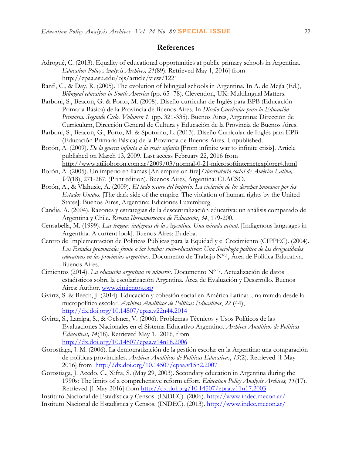## **References**

- Adrogué, C. (2013). Equality of educational opportunities at public primary schools in Argentina. *Education Policy Analysis Archives, 21*(89). Retrieved May 1, 2016] from <http://epaa.asu.edu/ojs/article/view/1221>
- Banfi, C., & Day, R. (2005). The evolution of bilingual schools in Argentina. In A. de Mejía (Ed.), *Bilingual education in South America* (pp. 65- 78). Clevendon, UK: Multilingual Matters.
- Barboni, S., Beacon, G. & Porto, M. (2008). Diseño curricular de Inglés para EPB (Educación Primaria Básica) de la Provincia de Buenos Aires. In *Diseño Curricular para la Educación Primaria. Segundo Ciclo. Volumen 1.* (pp. 321-335). Buenos Aires, Argentina: Dirección de Currículum, Dirección General de Cultura y Educación de la Provincia de Buenos Aires.
- Barboni, S., Beacon, G., Porto, M. & Spoturno, L. (2013). Diseño Curricular de Inglés para EPB (Educación Primaria Básica) de la Provincia de Buenos Aires. Unpublished.
- Borón, A. (2009). *[De la guerra infinita a la crisis infinita](http://www.tlaxcala.es/pp.asp?reference=7200&lg=es)* [From infinite war to infinite crisis]. Article published on March 13, 2009. Last access February 22, 2016 from <http://www.atilioboron.com.ar/2009/03/normal-0-21-microsoftinternetexplorer4.html>
- Borón, A. (2005). Un imperio en llamas [An empire on fire].*Observatorio social de América Latina, VI*(18), 271-287. (Print edition). Buenos Aires, Argentina: CLACSO.
- Borón, A., & Vlahusic, A. (2009). *El lado oscuro del imperio. La violación de los derechos humanos por los Estados Unidos.* [The dark side of the empire. The violation of human rights by the United States]. Buenos Aires, Argentina: Ediciones Luxemburg.
- Candia, A. (2004). Razones y estrategias de la descentralización educativa: un análisis comparado de Argentina y Chile. *Revista Iberoamericana de Educación*, *34*, 179-200.
- Censabella, M. (1999). *Las lenguas indígenas de la Argentina. Una mirada actual*. [Indigenous languages in Argentina. A current look]. Buenos Aires: Eudeba.
- Centro de Implementación de Políticas Públicas para la Equidad y el Crecimiento (CIPPEC). (2004). *Los Estados provinciales frente a las brechas socio-educativas: Una Sociología política de las desigualdades educativas en las provincias argentinas*. Documento de Trabajo N°4, Área de Política Educativa. Buenos Aires.
- Cimientos (2014). *La educación argentina en números.* Documento Nº 7. Actualización de datos estadísticos sobre la escolarización Argentina. Área de Evaluación y Desarrollo. Buenos Aires: Author. [www.cimientos.org](http://www.cimientos.org/)
- Gvirtz, S. & Beech, J. (2014). Educación y cohesión social en América Latina: Una mirada desde la micropolítica escolar. *Archivos Analíticos de Políticas Educativas*, *22* (44), <http://dx.doi.org/10.14507/epaa.v22n44.2014>
- Gvirtz, S., Larripa, S., & Oelsner, V. (2006). Problemas Técnicos y Usos Políticos de las Evaluaciones Nacionales en el Sistema Educativo Argentino. *Archivos Analíticos de Políticas Educativas, 14*(18). Retrieved May 1, 2016, from <http://dx.doi.org/10.14507/epaa.v14n18.2006>
- Gorostiaga, J. M. (2006). La democratización de la gestión escolar en la Argentina: una comparación de políticas provinciales. *Archivos Analíticos de Políticas Educativas*, *15*(2). Retrieved [1 May 2016] from <http://dx.doi.org/10.14507/epaa.v15n2.2007>
- Gorostiaga, J. Acedo, C., Xifra, S. (May 29, 2003). Secondary education in Argentina during the 1990s: The limits of a comprehensive reform effort. *Education Policy Analysis Archives, 11*(17). Retrieved [1 May 2016] from<http://dx.doi.org/10.14507/epaa.v11n17.2003>
- Instituto Nacional de Estadística y Censos. (INDEC). (2006).<http://www.indec.mecon.ar/>
- Instituto Nacional de Estadística y Censos. (INDEC). (2013).<http://www.indec.mecon.ar/>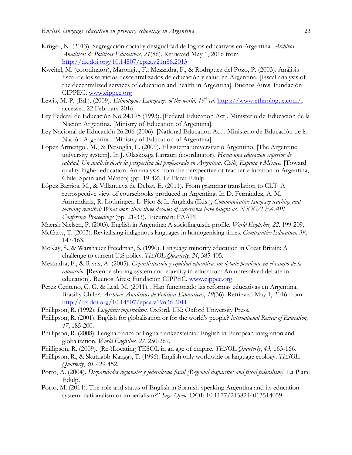- Krüger, N. (2013). Segregación social y desigualdad de logros educativos en Argentina. *Archivos Analíticos de Políticas Educativas, 21*(86). Retrieved May 1, 2016 from <http://dx.doi.org/10.14507/epaa.v21n86.2013>
- Kweitel, M. (coordinator), Marongiu, F., Mezzadra, F., & Rodríguez del Pozo, P. (2003). Análisis fiscal de los servicios descentralizados de educación y salud en Argentina. [Fiscal analysis of the decentralized services of education and health in Argentina]. Buenos Aires: Fundación CIPPEC. [www.cippec.org](http://www.cippec.org/)
- Lewis, M. P. (Ed.). (2009). *Ethnologue: Languages of the world, 16th ed***.** [https://www.ethnologue.com/,](https://www.ethnologue.com/) accessed 22 February 2016.
- Ley Federal de Educación No 24.195 (1993). [Federal Education Act]. Ministerio de Educación de la Nación Argentina. [Ministry of Education of Argentina].
- Ley Nacional de Educación 26.206 (2006). [National Education Act]. Ministerio de Educación de la Nación Argentina. [Ministry of Education of Argentina].
- López Armengol, M., & Persoglia, L. (2009). El sistema universitario Argentino. [The Argentine university system]. In J. Olaskoaga Larrauri (coordinator). *Hacia una educación superior de calidad. Un análisis desde la perspectiva del profesorado en Argentina, Chile, España y México.* [Toward quality higher education. An analysis from the perspective of teacher education in Argentina, Chile, Spain and México] (pp. 19-42). La Plata: Edulp.
- López Barrios, M., & Villanueva de Debat, E. (2011). From grammar translation to CLT: A retrospective view of coursebooks produced in Argentina. In D. Fernández, A. M. Armendáriz, R. Lothringer, L. Pico & L. Anglada (Eds.), *Communicative language teaching and learning revisited: What more than three decades of experience have taught us. XXXVI FAAPI Conference Proceedings* (pp. 21-33). Tucumán: FAAPI.
- Maersk Nielsen, P. (2003). English in Argentina: A sociolinguistic profile. *World Englishes, 22,* 199-209.
- McCarty, T. (2003). Revitalising indigenous languages in homogenising times. *Comparative Education, 39*, 147-163.
- McKay, S., & Warshauer Freedman, S. (1990). Language minority education in Great Britain: A challenge to current U.S policy. *TESOL Quarterly, 24*, 385-405.
- Mezzadra, F., & Rivas, A. (2005). *Coparticipación y equidad educativa: un debate pendiente en el campo de la educación.* [Revenue sharing system and equality in education: An unresolved debate in education]. Buenos Aires: Fundación CIPPEC. [www.cippec.org](http://www.cippec.org/)
- Perez Centeno, C. G. & Leal, M. (2011). ¿Han funcionado las reformas educativas en Argentina, Brasil y Chile?. *Archivos Analíticos de Políticas Educativas*, *19*(36). Retrieved May 1, 2016 from <http://dx.doi.org/10.14507/epaa.v19n36.2011>
- Phillipson, R. (1992). *Linguistic imperialism.* Oxford, UK: Oxford University Press.
- Phillipson, R. (2001). English for globalisation or for the world's people? *International Review of Education, 47*, 185-200.
- Phillipson, R. (2008). Lengua franca or lingua frankensteinia? English in European integration and globalization. *World Englishes, 27*, 250-267.
- Phillipson, R. (2009). (Re-)Locating TESOL in an age of empire. *[TESOL Quarterly](http://www.ingentaconnect.com/content/tesol/tq)*, *43*, 163-166.
- Phillipson, R., & Skutnabb-Kangas, T. (1996). English only worldwide or language ecology. *TESOL Quarterly*, *30*, 429-452.
- Porto, A. (2004). *Disparidades regionales y federalismo fiscal [Regional disparities and fiscal federalism]*. La Plata: Edulp.
- Porto, M. (2014). The role and status of English in Spanish-speaking Argentina and its education system: nationalism or imperialism?" *Sage Open*. DOI: 10.1177/2158244013514059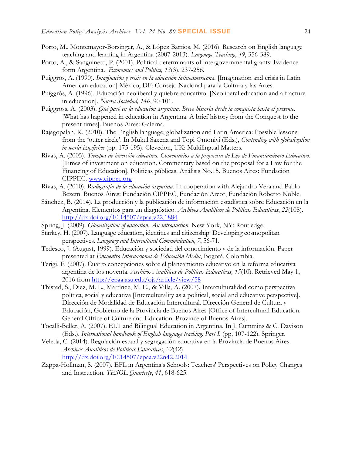- Porto, M., Montemayor-Borsinger, A., & López Barrios, M. (2016). Research on English language teaching and learning in Argentina (2007-2013). *Language Teaching*, *49*, 356-389.
- Porto, A., & Sanguinetti, P. (2001). Political determinants of intergovernmental grants: Evidence form Argentina. *Economics and Politics, 13*(3), 237-256.
- Puiggrós, A. (1990). *Imaginación y crisis en la educación latinoamericana.* [Imagination and crisis in Latin American education] México, DF: Consejo Nacional para la Cultura y las Artes.
- Puiggrós, A. (1996). Educación neoliberal y quiebre educativo. [Neoliberal education and a fracture in education]. *Nueva Sociedad, 146*, 90-101.
- Puiggróss, A. (2003). *Qué pasó en la educación argentina. Breve historia desde la conquista hasta el presente.* [What has happened in education in Argentina. A brief history from the Conquest to the present times]. Buenos Aires: Galerna.
- Rajagopalan, K. (2010). The English language, globalization and Latin America: Possible lessons from the 'outer circle'. In Mukul Saxena and Topi Omoniyi (Eds.), *Contending with globalization in world Englishes* (pp. 175-195). Clevedon, UK: Multilingual Matters.
- Rivas, A. (2005). *Tiempos de inversión educativa. Comentarios a la propuesta de Ley de Financiamiento Educativo.* [Times of investment on education. Commentary based on the proposal for a Law for the Financing of Education]. Políticas públicas. Análisis No.15. Buenos Aires: Fundación CIPPEC. [www.cippec.org](http://www.cippec.org/)
- Rivas, A. (2010). *Radiografía de la educación argentina*. In cooperation with Alejandro Vera and Pablo Bezem. Buenos Aires: Fundación CIPPEC, Fundación Arcor, Fundación Roberto Noble.
- Sánchez, B. (2014). La producción y la publicación de información estadística sobre Educación en la Argentina. Elementos para un diagnóstico. *Archivos Analíticos de Políticas Educativas*, *22*(108). <http://dx.doi.org/10.14507/epaa.v22.1884>
- Spring, J. (2009). *Globalization of education. An introduction.* New York, NY: Routledge.
- Starkey, H. (2007). Language education, identities and citizenship: Developing cosmopolitan perspectives. *Language and Intercultural Communication, 7*, 56-71.
- Tedesco, J. (August, 1999). Educación y sociedad del conocimiento y de la información. Paper presented at *Encuentro Internacional de Educación Media*, Bogotá, Colombia.
- Terigi, F. (2007). Cuatro concepciones sobre el planeamiento educativo en la reforma educativa argentina de los noventa. *Archivos Analíticos de Políticas Educativas, 15*(10). Retrieved May 1, 2016 from<http://epaa.asu.edu/ojs/article/view/58>
- Thisted, S., Diez, M. L., Martínez, M. E., & Villa, A. (2007). Interculturalidad como perspectiva política, social y educativa [Interculturality as a political, social and educative perspective]. Dirección de Modalidad de Educación Intercultural. Dirección General de Cultura y Educación, Gobierno de la Provincia de Buenos Aires [Office of Intercultural Education. General Office of Culture and Education. Province of Buenos Aires].
- Tocalli-Beller, A. (2007). ELT and Bilingual Education in Argentina. In J. Cummins & C. Davison (Eds.), *International handbook of English language teaching*: Part I. (pp. 107-122). Springer.
- Veleda, C. (2014). Regulación estatal y segregación educativa en la Provincia de Buenos Aires. *Archivos Analíticos de Políticas Educativas*, *22*(42). <http://dx.doi.org/10.14507/epaa.v22n42.2014>
- Zappa-Hollman, S. (2007). EFL in Argentina's Schools: Teachers' Perspectives on Policy Changes and Instruction. *[TESOL Quarterly](http://www.ingentaconnect.com/content/tesol/tq)*, *41*, 618-625.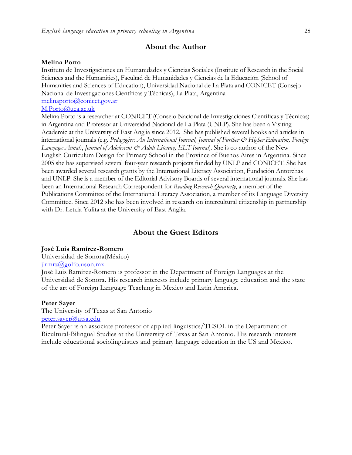#### **About the Author**

#### **Melina Porto**

Instituto de Investigaciones en Humanidades y Ciencias Sociales (Institute of Research in the Social Sciences and the Humanities), Facultad de Humanidades y Ciencias de la Educación (School of Humanities and Sciences of Education), Universidad Nacional de La Plata and CONICET (Consejo Nacional de Investigaciones Científicas y Técnicas), La Plata, Argentina [melinaporto@conicet.gov.ar](mailto:melinaporto@conicet.gov.ar)

#### [M.Porto@uea.ac.uk](mailto:M.Porto@uea.ac.uk)

Melina Porto is a researcher at CONICET (Consejo Nacional de Investigaciones Científicas y Técnicas) in Argentina and Professor at Universidad Nacional de La Plata (UNLP). She has been a Visiting Academic at the University of East Anglia since 2012. She has published several books and articles in international journals (e.g. *Pedagogies: An International Journal, Journal of Further & Higher Education, Foreign Language Annals*, *Journal of Adolescent & Adult Literacy, ELT Journal*). She is co-author of the New English Curriculum Design for Primary School in the Province of Buenos Aires in Argentina. Since 2005 she has supervised several four-year research projects funded by UNLP and CONICET. She has been awarded several research grants by the International Literacy Association, Fundación Antorchas and UNLP. She is a member of the Editorial Advisory Boards of several international journals. She has been an International Research Correspondent for *Reading Research Quarterly*, a member of the Publications Committee of the International Literacy Association, a member of its Language Diversity Committee. Since 2012 she has been involved in research on intercultural citizenship in partnership with Dr. Letcia Yulita at the University of East Anglia.

## **About the Guest Editors**

#### **José Luis Ramírez-Romero**

Universidad de Sonora(México) [jlrmrz@golfo.uson.mx](mailto:jlrmrz@golfo.uson.mx)

José Luis Ramírez-Romero is professor in the Department of Foreign Languages at the Universidad de Sonora. His research interests include primary language education and the state of the art of Foreign Language Teaching in Mexico and Latin America.

#### **Peter Sayer**

The University of Texas at San Antonio [peter.sayer@utsa.edu](mailto:peter.sayer@utsa.edu)

Peter Sayer is an associate professor of applied linguistics/TESOL in the Department of Bicultural-Bilingual Studies at the University of Texas at San Antonio. His research interests include educational sociolinguistics and primary language education in the US and Mexico.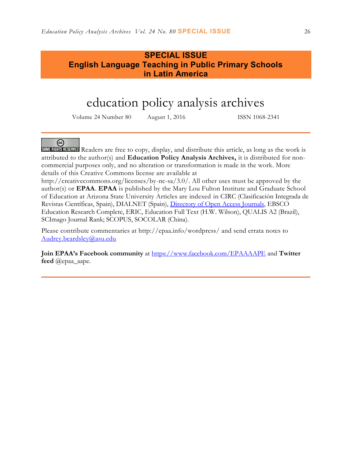# **SPECIAL ISSUE English Language Teaching in Public Primary Schools in Latin America**

# education policy analysis archives

Volume 24 Number 80 August 1, 2016 ISSN 1068-2341

## @

SOMERIGHTS RESERVED Readers are free to copy, display, and distribute this article, as long as the work is attributed to the author(s) and **Education Policy Analysis Archives,** it is distributed for noncommercial purposes only, and no alteration or transformation is made in the work. More details of this Creative Commons license are available at

http://creativecommons.org/licenses/by-nc-sa/3.0/. All other uses must be approved by the author(s) or **EPAA**. **EPAA** is published by the Mary Lou Fulton Institute and Graduate School of Education at Arizona State University Articles are indexed in CIRC (Clasificación Integrada de Revistas Científicas, Spain), DIALNET (Spain), [Directory of Open Access Journals,](http://www.doaj.org/) EBSCO Education Research Complete, ERIC, Education Full Text (H.W. Wilson), QUALIS A2 (Brazil), SCImago Journal Rank; SCOPUS, SOCOLAR (China).

Please contribute commentaries at http://epaa.info/wordpress/ and send errata notes to [Audrey.beardsley@asu.edu](mailto:Audrey.beardsley@asu.edu)

**Join EPAA's Facebook community** at<https://www.facebook.com/EPAAAAPE> and **Twitter feed** @epaa\_aape.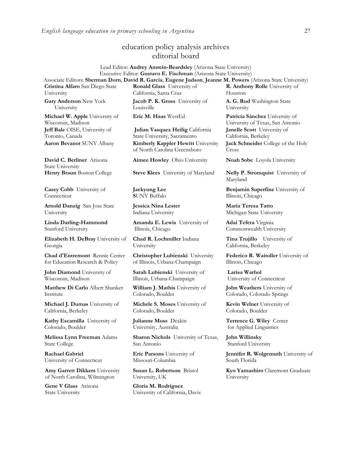## education policy analysis archives editorial board

#### Lead Editor: **Audrey Amrein-Beardsley** (Arizona State University) Executive Editor: **Gustavo E. Fischman** (Arizona State University) Associate Editors: **Sherman Dorn**, **David R. Garcia**, **Eugene Judson**, **Jeanne M. Powers** (Arizona State University)

**Cristina Alfaro** San Diego State University

**Gary Anderson** New York University

**Michael W. Apple** University of Wisconsin, Madison **Jeff Bale** OISE, University of Toronto, Canada

**David C. Berliner** Arizona State University

**Casey Cobb** University of Connecticut

**Arnold Danzig** San Jose State University

**Linda Darling-Hammond**  Stanford University

**Elizabeth H. DeBray** University of Georgia

**Chad d'Entremont** Rennie Center for Education Research & Policy

**John Diamond** University of Wisconsin, Madison

**Matthew Di Carlo** Albert Shanker Institute

**Michael J. Dumas** University of California, Berkeley

**Kathy Escamilla** University of Colorado, Boulder

**Melissa Lynn Freeman** Adams State College

**Rachael Gabriel** University of Connecticut

**Amy Garrett Dikkers** University of North Carolina, Wilmington

**Gene V Glass** Arizona State University

**Ronald Glass** University of California, Santa Cruz

**Jacob P. K. Gross** University of Louisville

**Julian Vasquez Heilig** California State University, Sacramento **Aaron Bevanot SUNY Albany Kimberly Kappler Hewitt University** of North Carolina Greensboro

**Henry Braun** Boston College **Steve Klees** University of Maryland **Nelly P. Stromquist** University of

**Jaekyung Lee S**UNY Buffalo

**Jessica Nina Lester** Indiana University

**Amanda E. Lewis** University of Illinois, Chicago

**Chad R. Lochmiller** Indiana University

**Christopher Lubienski** University of Illinois, Urbana-Champaign

**Sarah Lubienski** University of Illinois, Urbana-Champaign

**William J. Mathis** University of Colorado, Boulder

**Michele S. Moses** University of Colorado, Boulder

**Julianne Moss** Deakin University, Australia

**Sharon Nichols** University of Texas, San Antonio

**Eric Parsons** University of Missouri-Columbia

**Susan L. Robertson** Bristol University, UK

**Gloria M. Rodriguez** University of California, Davis **R. Anthony Rolle** University of Houston **A. G. Rud** Washington State University

**Eric M. Haas** WestEd **Patricia Sánchez** University of University of Texas, San Antonio **Janelle Scott** University of California, Berkeley **Jack Schneider** College of the Holy Cross

**Aimee Howley** Ohio University **Noah Sobe** Loyola University

Maryland

**Benjamin Superfine** University of Illinois, Chicago

**Maria Teresa Tatto**  Michigan State University

**Adai Tefera** Virginia Commonwealth University

**Tina Trujillo** University of California, Berkeley

**Federico R. Waitoller** University of Illinois, Chicago

**Larisa Warhol** University of Connecticut

**John Weathers** University of Colorado, Colorado Springs

**Kevin Welner** University of Colorado, Boulder

**Terrence G. Wiley** Center for Applied Linguistics

**John Willinsky**  Stanford University

**Jennifer R. Wolgemuth** University of South Florida

**Kyo Yamashiro** Claremont Graduate University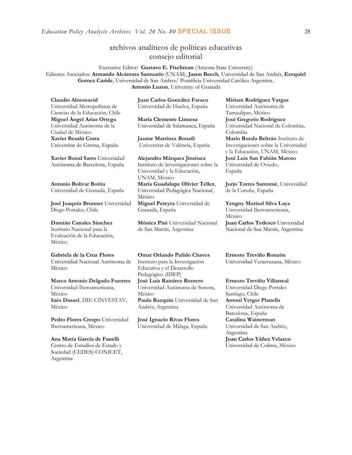## archivos analíticos de políticas educativas consejo editorial

Executive Editor: **Gustavo E. Fischman** (Arizona State University)

Editores Asociados: **Armando Alcántara Santuario** (UNAM), **Jason Beech**, Universidad de San Andrés, **Ezequiel Gomez Caride**, Universidad de San Andres/ Pontificia Universidad Católica Argentina, **Antonio Luzon**, University of Granada

**Claudio Almonacid** Universidad Metropolitana de Ciencias de la Educación, Chile **Miguel Ángel Arias Ortega**  Universidad Autónoma de la Ciudad de México **Xavier Besalú Costa**  Universitat de Girona, España

**[Xavier Bonal](javascript:openRTWindow() Sarro** Universidad Autónoma de Barcelona, España

**[Antonio Bolívar](javascript:openRTWindow() Boitia** Universidad de Granada, España

**[José Joaquín Brunner](javascript:openRTWindow()** Universidad Diego Portales, Chile

**[Damián Canales Sánchez](javascript:openRTWindow()**

Instituto Nacional para la Evaluación de la Educación, México

#### **Gabriela de la Cruz Flores**

Universidad Nacional Autónoma de México

**[Marco Antonio Delgado Fuentes](javascript:openRTWindow()** Universidad Iberoamericana, México **[Inés Dussel](javascript:openRTWindow()**, DIE-CINVESTAV, México

**[Pedro Flores Crespo](javascript:openRTWindow()** Universidad Iberoamericana, México

**Ana María García de Fanelli**  Centro de Estudios de Estado y Sociedad (CEDES) CONICET, Argentina

**Juan Carlos González Faraco**  Universidad de Huelva, España

**María Clemente Linuesa**  Universidad de Salamanca, España

**Jaume Martínez Bonafé** Universitat de València, España

**Alejandro Márquez Jiménez**  Instituto de Investigaciones sobre la Universidad y la Educación, UNAM, México **María Guadalupe Olivier Tellez**, Universidad Pedagógica Nacional,

México **[Miguel Pereyra](javascript:openRTWindow()** Universidad de Granada, España

**[Mónica Pini](javascript:openRTWindow()** Universidad Nacional de San Martín, Argentina

**Omar Orlando Pulido Chaves** Instituto para la Investigación Educativa y el Desarrollo Pedagógico (IDEP) **[José Luis Ramírez](javascript:openRTWindow() Romero**

Universidad Autónoma de Sonora, México **[Paula Razquin](javascript:openRTWindow()** Universidad de San Andrés, Argentina

**José Ignacio Rivas Flores** Universidad de Málaga, España **[Miriam Rodríguez Vargas](javascript:openRTWindow()** Universidad Autónoma de Tamaulipas, México **José Gregorio Rodríguez**  Universidad Nacional de Colombia, Colombia **[Mario Rueda Beltrán](javascript:openRTWindow()** Instituto de Investigaciones sobre la Universidad y la Educación, UNAM, México **José Luis San Fabián Maroto**  Universidad de Oviedo, España

**[Jurjo Torres Santomé](javascript:openRTWindow()**, Universidad de la Coruña, España

**[Yengny Marisol Silva Laya](javascript:openRTWindow()** Universidad Iberoamericana, México **Juan Carlos Tedesco** Universidad Nacional de San Martín, Argentina

**Ernesto Treviño Ronzón** Universidad Veracruzana, México

**[Ernesto Treviño](javascript:openRTWindow() Villarreal** Universidad Diego Portales Santiago, Chile **[Antoni Verger Planells](javascript:openRTWindow()** Universidad Autónoma de Barcelona, España **[Catalina Wainerman](javascript:openRTWindow()** Universidad de San Andrés, Argentina **Juan Carlos Yáñez Velazco** Universidad de Colima, México